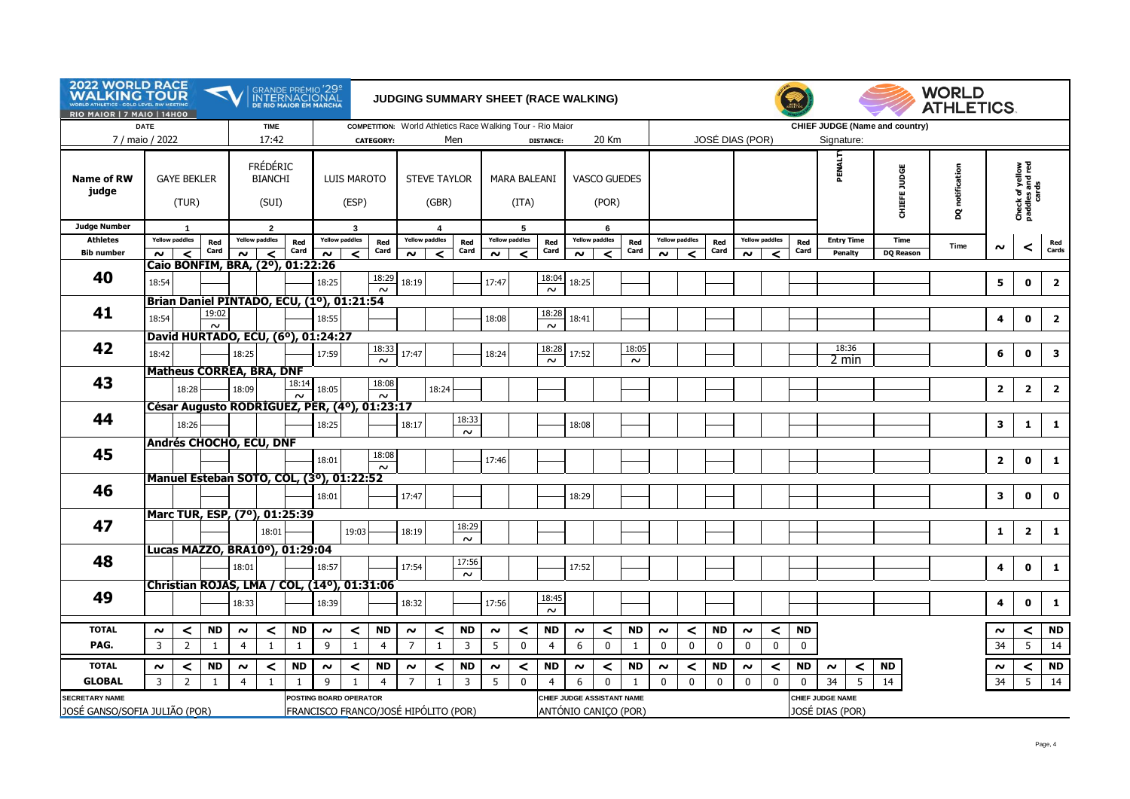| <b>2022 WORLD RACE</b><br><b>WALKING TOUR</b><br>WORLD ATHLETICS - GOLD LEVEL RW MEETING<br>RIO MAIOR   7 MAIO   14H00 |             |                                  |                                              |                                       |                                            |             | GRANDE PRÉMIO <sup>1</sup> 29 <sup>º</sup><br>INTERNACIONAL<br>JUDGING SUMMARY SHEET (RACE WALKING)<br><b>DE RIO MAIOR EM MARCHA</b> |                                     |                                                                                |                              |                                     |                      |                     |                                     |                  |                                                    |                                                   |                 |                        |                            |                          | <b>WORLD</b><br><b>ATHLETICS.</b> |                                     |                          |                              |                                |                 |                |                                             |                         |
|------------------------------------------------------------------------------------------------------------------------|-------------|----------------------------------|----------------------------------------------|---------------------------------------|--------------------------------------------|-------------|--------------------------------------------------------------------------------------------------------------------------------------|-------------------------------------|--------------------------------------------------------------------------------|------------------------------|-------------------------------------|----------------------|---------------------|-------------------------------------|------------------|----------------------------------------------------|---------------------------------------------------|-----------------|------------------------|----------------------------|--------------------------|-----------------------------------|-------------------------------------|--------------------------|------------------------------|--------------------------------|-----------------|----------------|---------------------------------------------|-------------------------|
| 7 / maio / 2022                                                                                                        | <b>DATE</b> |                                  |                                              |                                       | <b>TIME</b><br>17:42                       |             |                                                                                                                                      |                                     | COMPETITION: World Athletics Race Walking Tour - Rio Maior<br><b>CATEGORY:</b> |                              |                                     | Men                  |                     |                                     | <b>DISTANCE:</b> |                                                    | 20 Km                                             |                 |                        |                            | JOSÉ DIAS (POR)          |                                   |                                     |                          | Signature:                   | CHIEF JUDGE (Name and country) |                 |                |                                             |                         |
| <b>Name of RW</b><br>judge                                                                                             |             | <b>GAYE BEKLER</b><br>(TUR)      |                                              |                                       | <b>FRÉDÉRIC</b><br><b>BIANCHI</b><br>(SUI) |             |                                                                                                                                      | LUIS MAROTO<br>(ESP)                |                                                                                | <b>STEVE TAYLOR</b><br>(GBR) |                                     |                      |                     | MARA BALEANI<br>(ITA)               |                  |                                                    | <b>VASCO GUEDES</b><br>(POR)                      |                 |                        |                            |                          |                                   |                                     |                          | PENALT                       | CHIEFE JUDGE                   | DQ notification |                | Check of yellow<br>paddles and red<br>cards |                         |
| <b>Judge Number</b>                                                                                                    |             | $\blacktriangleleft$             |                                              |                                       | $\overline{2}$                             |             | 3                                                                                                                                    |                                     |                                                                                |                              | $\overline{\mathbf{4}}$             |                      |                     | -5                                  |                  | 6                                                  |                                                   |                 |                        |                            |                          |                                   |                                     |                          |                              |                                |                 |                |                                             |                         |
| <b>Athletes</b><br><b>Bib number</b>                                                                                   | $\sim$      | <b>Yellow paddles</b><br>$\prec$ | Red<br>Card                                  | $\sim$                                | <b>Yellow paddles</b><br>$\prec$           | Red<br>Card | $\sim$                                                                                                                               | <b>Yellow paddles</b><br>$\epsilon$ | Red<br>Card                                                                    | $\sim$                       | <b>Yellow paddles</b><br>$\epsilon$ | Red<br>Card          | $\sim$              | <b>Yellow paddles</b><br>$\epsilon$ | Red<br>Card      | $\sim$                                             | <b>Yellow paddles</b><br>$\overline{\phantom{a}}$ | Red<br>Card     | $\sim$                 | <b>Yellow paddles</b><br>≺ | Red<br>Card              | $\sim$                            | <b>Yellow paddles</b><br>$\epsilon$ | Red<br>Card              | <b>Entry Time</b><br>Penalty | Time<br><b>DQ Reason</b>       | Time            | $\sim$         | ≺                                           | Red<br>Cards            |
|                                                                                                                        |             |                                  | Caio BONFIM, BRA, (2º), 01:22:26             |                                       |                                            |             |                                                                                                                                      |                                     |                                                                                |                              |                                     |                      |                     |                                     |                  |                                                    |                                                   |                 |                        |                            |                          |                                   |                                     |                          |                              |                                |                 |                |                                             |                         |
| 40                                                                                                                     | 18:54       |                                  |                                              |                                       |                                            |             | 18:25                                                                                                                                |                                     | 18:29<br>$\sim$                                                                | 18:19                        |                                     |                      | 17:47               |                                     | 18:04<br>$\sim$  | 18:25                                              |                                                   |                 |                        |                            |                          |                                   |                                     |                          |                              |                                |                 | 5              | 0                                           | $\overline{\mathbf{2}}$ |
|                                                                                                                        |             |                                  | Brian Daniel PINTADO, ECU, (1º), 01:21:54    |                                       |                                            |             |                                                                                                                                      |                                     |                                                                                |                              |                                     |                      |                     |                                     |                  |                                                    |                                                   |                 |                        |                            |                          |                                   |                                     |                          |                              |                                |                 |                |                                             |                         |
| 41                                                                                                                     | 18:54       |                                  | 19:02<br>$\sim$                              |                                       |                                            |             | 18:55                                                                                                                                |                                     |                                                                                |                              |                                     |                      | 18:08               |                                     | 18:28<br>$\sim$  | 18:41                                              |                                                   |                 |                        |                            |                          |                                   |                                     |                          |                              |                                |                 | 4              | $\mathbf 0$                                 | $\overline{\mathbf{2}}$ |
|                                                                                                                        |             |                                  | David HURTADO, ECU, (6°), 01:24:27           |                                       |                                            |             |                                                                                                                                      |                                     |                                                                                |                              |                                     |                      |                     |                                     |                  |                                                    |                                                   |                 |                        |                            |                          |                                   |                                     |                          |                              |                                |                 |                |                                             |                         |
| 42                                                                                                                     | 18:42       |                                  |                                              | 18:25                                 |                                            |             | 17:59                                                                                                                                |                                     | 18:33<br>$\sim$                                                                | 17:47                        |                                     |                      | 18:24               |                                     | 18:28<br>$\sim$  | 17:52                                              |                                                   | 18:05<br>$\sim$ |                        |                            |                          |                                   |                                     |                          | 18:36<br>2 min               |                                |                 | 6              | $\mathbf 0$                                 | $\mathbf{3}$            |
| 43                                                                                                                     |             |                                  | <b>Matheus CORREA, BRA, DNF</b>              |                                       |                                            | 18:14       |                                                                                                                                      |                                     | 18:08                                                                          |                              |                                     |                      |                     |                                     |                  |                                                    |                                                   |                 |                        |                            |                          |                                   |                                     |                          |                              |                                |                 |                |                                             |                         |
|                                                                                                                        |             | 18:28                            |                                              | 18:09                                 |                                            | $\sim$      | 18:05                                                                                                                                |                                     | $\sim$                                                                         |                              | 18:24                               |                      |                     |                                     |                  |                                                    |                                                   |                 |                        |                            |                          |                                   |                                     |                          |                              |                                |                 | $\overline{2}$ | $\overline{\mathbf{2}}$                     | $\overline{\mathbf{2}}$ |
|                                                                                                                        |             |                                  | César Augusto RODRIGUEZ, PER, (4º), 01:23:17 |                                       |                                            |             |                                                                                                                                      |                                     |                                                                                |                              |                                     |                      |                     |                                     |                  |                                                    |                                                   |                 |                        |                            |                          |                                   |                                     |                          |                              |                                |                 |                |                                             |                         |
| 44                                                                                                                     |             | 18:26                            |                                              |                                       |                                            |             | 18:25                                                                                                                                |                                     |                                                                                | 18:17                        |                                     | 18:33<br>$\sim$      |                     |                                     |                  | 18:08                                              |                                                   |                 |                        |                            |                          |                                   |                                     |                          |                              |                                |                 | 3              | $\mathbf{1}$                                | $\mathbf{1}$            |
|                                                                                                                        |             |                                  | Andrés CHOCHO, ECU, DNF                      |                                       |                                            |             |                                                                                                                                      |                                     |                                                                                |                              |                                     |                      |                     |                                     |                  |                                                    |                                                   |                 |                        |                            |                          |                                   |                                     |                          |                              |                                |                 |                |                                             |                         |
| 45                                                                                                                     |             |                                  |                                              |                                       |                                            |             | 18:01                                                                                                                                |                                     | 18:08<br>$\sim$                                                                |                              |                                     |                      | 17:46               |                                     |                  |                                                    |                                                   |                 |                        |                            |                          |                                   |                                     |                          |                              |                                |                 | $\overline{2}$ | $\mathbf 0$                                 | $\mathbf{1}$            |
|                                                                                                                        |             |                                  | Manuel Esteban SOTO, COL, (3º), 01:22:52     |                                       |                                            |             |                                                                                                                                      |                                     |                                                                                |                              |                                     |                      |                     |                                     |                  |                                                    |                                                   |                 |                        |                            |                          |                                   |                                     |                          |                              |                                |                 |                |                                             |                         |
| 46                                                                                                                     |             |                                  |                                              |                                       |                                            |             | 18:01                                                                                                                                |                                     |                                                                                | 17:47                        |                                     |                      |                     |                                     |                  | 18:29                                              |                                                   |                 |                        |                            |                          |                                   |                                     |                          |                              |                                |                 | 3              | $\mathbf{0}$                                | $\mathbf 0$             |
|                                                                                                                        |             |                                  | Marc TUR, ESP, (7º), 01:25:39                |                                       |                                            |             |                                                                                                                                      |                                     |                                                                                |                              |                                     |                      |                     |                                     |                  |                                                    |                                                   |                 |                        |                            |                          |                                   |                                     |                          |                              |                                |                 |                |                                             |                         |
| 47                                                                                                                     |             |                                  |                                              |                                       | 18:01                                      |             |                                                                                                                                      | 19:03                               |                                                                                | 18:19                        |                                     | 18:29                |                     |                                     |                  |                                                    |                                                   |                 |                        |                            |                          |                                   |                                     |                          |                              |                                |                 | 1              | $\overline{2}$                              | $\mathbf{1}$            |
|                                                                                                                        |             |                                  | Lucas MAZZO, BRA10 <sup>o</sup> ), 01:29:04  |                                       |                                            |             |                                                                                                                                      |                                     |                                                                                |                              |                                     | $\sim$               |                     |                                     |                  |                                                    |                                                   |                 |                        |                            |                          |                                   |                                     |                          |                              |                                |                 |                |                                             |                         |
| 48                                                                                                                     |             |                                  |                                              | 18:01                                 |                                            |             | 18:57                                                                                                                                |                                     |                                                                                | 17:54                        |                                     | 17:56<br>$\sim$      |                     |                                     |                  | 17:52                                              |                                                   |                 |                        |                            |                          |                                   |                                     |                          |                              |                                |                 | 4              | $\mathbf 0$                                 | $\mathbf 1$             |
|                                                                                                                        |             |                                  | Christian ROJAS, LMA / COL, (14º), 01:31:06  |                                       |                                            |             |                                                                                                                                      |                                     |                                                                                |                              |                                     |                      |                     |                                     |                  |                                                    |                                                   |                 |                        |                            |                          |                                   |                                     |                          |                              |                                |                 |                |                                             |                         |
| 49                                                                                                                     |             |                                  |                                              | 18:33                                 |                                            |             | 18:39                                                                                                                                |                                     |                                                                                | 18:32                        |                                     |                      | 17:56               |                                     | 18:45<br>$\sim$  |                                                    |                                                   |                 |                        |                            |                          |                                   |                                     |                          |                              |                                |                 | 4              | $\mathbf 0$                                 | $\mathbf{1}$            |
| <b>TOTAL</b>                                                                                                           | $\sim$      | $\prec$                          | <b>ND</b>                                    | $\sim$                                | $\prec$                                    | <b>ND</b>   | $\sim$                                                                                                                               | $\prec$                             | <b>ND</b>                                                                      | $\sim$                       | $\prec$                             | <b>ND</b>            | $\boldsymbol{\sim}$ | ≺                                   | <b>ND</b>        | $\sim$                                             | $\prec$                                           | <b>ND</b>       | $\sim$                 | $\prec$                    | <b>ND</b>                | $\sim$                            | $\prec$                             | <b>ND</b>                |                              |                                |                 | $\sim$         | $\prec$                                     | <b>ND</b>               |
| PAG.                                                                                                                   | 3           | $\overline{2}$                   | $\overline{1}$                               | $\overline{4}$                        | $\mathbf{1}$                               | 1           | 9                                                                                                                                    | 1                                   | 4                                                                              | $\overline{7}$               | $\mathbf{1}$                        | 3                    | 5                   | $\mathbf 0$                         | 4                | 6                                                  | $\mathbf 0$                                       | $\mathbf{1}$    | $\mathbf 0$            | $\mathbf 0$                | $\mathbf 0$              | $\mathbf 0$                       | $\mathbf 0$                         | $\mathbf 0$              |                              |                                |                 | 34             | 5                                           | 14                      |
| <b>TOTAL</b>                                                                                                           |             |                                  |                                              |                                       |                                            |             |                                                                                                                                      |                                     |                                                                                |                              |                                     |                      |                     |                                     |                  |                                                    |                                                   |                 |                        |                            |                          |                                   |                                     |                          |                              |                                |                 |                |                                             |                         |
| <b>GLOBAL</b>                                                                                                          | $\sim$<br>3 | $\prec$<br>$\overline{2}$        | ND<br>1                                      | $\boldsymbol{\sim}$<br>$\overline{4}$ | $\prec$<br>$\mathbf{1}$                    | <b>ND</b>   | $\sim$<br>9                                                                                                                          | $\prec$                             | <b>ND</b><br>$\overline{4}$                                                    | $\sim$<br>$\overline{7}$     | $\prec$<br>$\mathbf{1}$             | ND<br>$\overline{3}$ | $\sim$<br>5         | $\prec$<br>$\mathbf 0$              | <b>ND</b><br>4   | $\sim$<br>6                                        | $\prec$<br>$\mathbf 0$                            | <b>ND</b>       | $\sim$<br>$\mathbf{0}$ | $\prec$<br>$\mathbf 0$     | <b>ND</b><br>$\mathbf 0$ | $\sim$<br>$\mathbf 0$             | $\prec$<br>$\mathbf 0$              | <b>ND</b><br>$\mathbf 0$ | $\prec$<br>$\sim$<br>5       | ND<br>14                       |                 | $\sim$<br>34   | $\prec$<br>5                                | <b>ND</b>               |
| <b>SECRETARY NAME</b>                                                                                                  |             |                                  |                                              |                                       |                                            | 1           | POSTING BOARD OPERATOR                                                                                                               | 1                                   |                                                                                |                              |                                     |                      |                     |                                     |                  |                                                    |                                                   | 1               |                        |                            |                          |                                   |                                     |                          | 34<br>CHIEF JUDGE NAME       |                                |                 |                |                                             | 14                      |
| JOSÉ GANSO/SOFIA JULIÃO (POR)                                                                                          |             |                                  |                                              |                                       |                                            |             |                                                                                                                                      |                                     | FRANCISCO FRANCO/JOSÉ HIPÓLITO (POR)                                           |                              |                                     |                      |                     |                                     |                  | CHIEF JUDGE ASSISTANT NAME<br>ANTÓNIO CANICO (POR) |                                                   |                 |                        |                            |                          |                                   |                                     |                          | JOSÉ DIAS (POR)              |                                |                 |                |                                             |                         |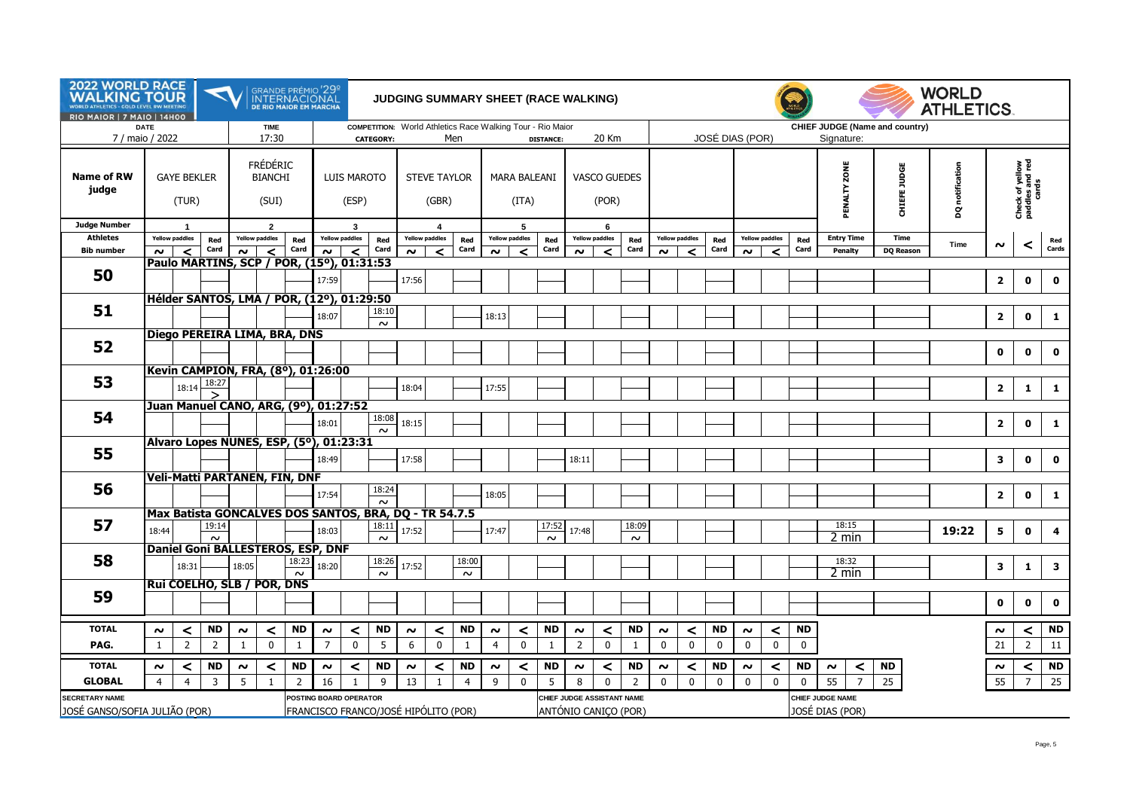| 2022 WORLD RACE<br><b>WALKING TOUR</b><br><b>ETICS - GOLD LEVEL RW MEETING</b><br><b>RIO MAIOR   7 MAIO   14H00</b> |                          |                                         | $\blacktriangleleft$                                  |              |                                            | GRANDE PRÉMIO <sup>1</sup> 29º<br>INTERNACIONAL<br>de rio maior em marcha |                                       |                             |                  | <b>JUDGING SUMMARY SHEET (RACE WALKING)</b> |                                                  |                             |                                                                                         |                            |                 |                                                    |                            |                             |                        |                        |                          |                       |                          |              |                   |                                     |                                | <b>WORLD</b><br><b>ATHLETICS.</b> |                         |                                             |                 |
|---------------------------------------------------------------------------------------------------------------------|--------------------------|-----------------------------------------|-------------------------------------------------------|--------------|--------------------------------------------|---------------------------------------------------------------------------|---------------------------------------|-----------------------------|------------------|---------------------------------------------|--------------------------------------------------|-----------------------------|-----------------------------------------------------------------------------------------|----------------------------|-----------------|----------------------------------------------------|----------------------------|-----------------------------|------------------------|------------------------|--------------------------|-----------------------|--------------------------|--------------|-------------------|-------------------------------------|--------------------------------|-----------------------------------|-------------------------|---------------------------------------------|-----------------|
| 7 / maio / 2022                                                                                                     | <b>DATE</b>              |                                         |                                                       |              | <b>TIME</b><br>17:30                       |                                                                           |                                       |                             | <b>CATEGORY:</b> |                                             |                                                  | Men                         | COMPETITION: World Athletics Race Walking Tour - Rio Maior<br>20 Km<br><b>DISTANCE:</b> |                            |                 |                                                    |                            |                             |                        |                        | JOSÉ DIAS (POR)          |                       |                          |              |                   | Signature:                          | CHIEF JUDGE (Name and country) |                                   |                         |                                             |                 |
| <b>Name of RW</b><br>judge                                                                                          |                          | <b>GAYE BEKLER</b><br>(TUR)             |                                                       |              | <b>FRÉDÉRIC</b><br><b>BIANCHI</b><br>(SUI) |                                                                           |                                       | <b>LUIS MAROTO</b><br>(ESP) |                  |                                             | <b>STEVE TAYLOR</b><br>(GBR)                     |                             |                                                                                         | MARA BALEANI<br>(ITA)      |                 |                                                    | VASCO GUEDES<br>(POR)      |                             |                        |                        |                          |                       |                          |              |                   | ZONE<br>PENALTY                     | CHIEFE JUDGE                   | notification<br>g                 |                         | Check of yellow<br>paddles and red<br>cards |                 |
| <b>Judge Number</b><br><b>Athletes</b>                                                                              |                          | $\overline{1}$<br><b>Yellow paddles</b> |                                                       |              | $\overline{2}$<br><b>Yellow paddles</b>    | Red                                                                       | $\mathbf{3}$<br><b>Yellow paddles</b> |                             |                  |                                             | $\overline{\mathbf{4}}$<br><b>Yellow paddles</b> |                             |                                                                                         | 5<br><b>Yellow paddles</b> |                 |                                                    | 6<br><b>Yellow paddles</b> |                             | <b>Yellow paddles</b>  |                        | <b>Yellow paddles</b>    |                       |                          |              | <b>Entry Time</b> | <b>Time</b>                         |                                |                                   |                         |                                             |                 |
| <b>Bib number</b>                                                                                                   | $\sim$                   | $\prec$                                 | Red<br>Card                                           | $\sim$       | $\overline{\phantom{a}}$                   | Card                                                                      | $\sim$                                | $\prec$                     | Red<br>Card      | $\sim$                                      | $\prec$                                          | Red<br>Card                 | $\sim$                                                                                  | ≺                          | Red<br>Card     | $\sim$                                             | Red<br>Card<br>≺           |                             | $\sim$                 | Red<br>Card<br>≺       |                          | $\sim$                | $\overline{\phantom{a}}$ | Red<br>Card  | Penalty           |                                     | <b>DQ Reason</b>               | Time                              | ົ                       | ≺                                           | Red<br>Cards    |
|                                                                                                                     |                          |                                         | Paulo MARTINS, SCP / POR, (15°), 01:31:53             |              |                                            |                                                                           |                                       |                             |                  |                                             |                                                  |                             |                                                                                         |                            |                 |                                                    |                            |                             |                        |                        |                          |                       |                          |              |                   |                                     |                                |                                   |                         |                                             |                 |
| 50                                                                                                                  |                          |                                         |                                                       |              |                                            |                                                                           | 17:59                                 |                             |                  | 17:56                                       |                                                  |                             |                                                                                         |                            |                 |                                                    |                            |                             |                        |                        |                          |                       |                          |              |                   |                                     |                                |                                   | $\overline{2}$          | $\mathbf 0$                                 | $\mathbf{o}$    |
|                                                                                                                     |                          |                                         | Hélder SANTOS, LMA / POR, (12º), 01:29:50             |              |                                            |                                                                           |                                       |                             |                  |                                             |                                                  |                             |                                                                                         |                            |                 |                                                    |                            |                             |                        |                        |                          |                       |                          |              |                   |                                     |                                |                                   |                         |                                             |                 |
| 51                                                                                                                  |                          |                                         |                                                       |              |                                            |                                                                           | 18:07                                 |                             | 18:10            |                                             |                                                  |                             | 18:13                                                                                   |                            |                 |                                                    |                            |                             |                        |                        |                          |                       |                          |              |                   |                                     |                                |                                   | $\overline{2}$          | $\mathbf 0$                                 | $\mathbf{1}$    |
|                                                                                                                     |                          |                                         |                                                       |              |                                            |                                                                           |                                       |                             | $\sim$           |                                             |                                                  |                             |                                                                                         |                            |                 |                                                    |                            |                             |                        |                        |                          |                       |                          |              |                   |                                     |                                |                                   |                         |                                             |                 |
| 52                                                                                                                  |                          |                                         | Diego PEREIRA LIMA, BRA, DNS                          |              |                                            |                                                                           |                                       |                             |                  |                                             |                                                  |                             |                                                                                         |                            |                 |                                                    |                            |                             |                        |                        |                          |                       |                          |              |                   |                                     |                                |                                   |                         |                                             |                 |
|                                                                                                                     |                          |                                         |                                                       |              |                                            |                                                                           |                                       |                             |                  |                                             |                                                  |                             |                                                                                         |                            |                 |                                                    |                            |                             |                        |                        |                          |                       |                          |              |                   |                                     |                                |                                   | $\mathbf 0$             | $\mathbf 0$                                 | $\mathbf 0$     |
|                                                                                                                     |                          |                                         | Kevin CAMPION, FRA, (8º), 01:26:00                    |              |                                            |                                                                           |                                       |                             |                  |                                             |                                                  |                             |                                                                                         |                            |                 |                                                    |                            |                             |                        |                        |                          |                       |                          |              |                   |                                     |                                |                                   |                         |                                             |                 |
| 53                                                                                                                  |                          | 18:14                                   | 18:27<br>$\check{}$                                   |              |                                            |                                                                           |                                       |                             |                  | 18:04                                       |                                                  |                             | 17:55                                                                                   |                            |                 |                                                    |                            |                             |                        |                        |                          |                       |                          |              |                   |                                     |                                |                                   | $\overline{2}$          | 1                                           | $\mathbf{1}$    |
|                                                                                                                     |                          |                                         | Juan Manuel CANO, ARG, (9º), 01:27:52                 |              |                                            |                                                                           |                                       |                             |                  |                                             |                                                  |                             |                                                                                         |                            |                 |                                                    |                            |                             |                        |                        |                          |                       |                          |              |                   |                                     |                                |                                   |                         |                                             |                 |
| 54                                                                                                                  |                          |                                         |                                                       |              |                                            |                                                                           | 18:01                                 |                             | 18:08            | 18:15                                       |                                                  |                             |                                                                                         |                            |                 |                                                    |                            |                             |                        |                        |                          |                       |                          |              |                   |                                     |                                |                                   | $\overline{2}$          | $\mathbf 0$                                 | $\mathbf{1}$    |
|                                                                                                                     |                          |                                         | Alvaro Lopes NUÑES, ESP, (5º), 01:23:31               |              |                                            |                                                                           |                                       |                             | $\sim$           |                                             |                                                  |                             |                                                                                         |                            |                 |                                                    |                            |                             |                        |                        |                          |                       |                          |              |                   |                                     |                                |                                   |                         |                                             |                 |
| 55                                                                                                                  |                          |                                         |                                                       |              |                                            |                                                                           | 18:49                                 |                             |                  | 17:58                                       |                                                  |                             |                                                                                         |                            |                 | 18:11                                              |                            |                             |                        |                        |                          |                       |                          |              |                   |                                     |                                |                                   | $\overline{\mathbf{3}}$ | $\mathbf{0}$                                | $\mathbf{0}$    |
|                                                                                                                     |                          |                                         |                                                       |              |                                            |                                                                           |                                       |                             |                  |                                             |                                                  |                             |                                                                                         |                            |                 |                                                    |                            |                             |                        |                        |                          |                       |                          |              |                   |                                     |                                |                                   |                         |                                             |                 |
| 56                                                                                                                  |                          |                                         | Veli-Matti PARTANEN, FIN, DNF                         |              |                                            |                                                                           |                                       |                             | 18:24            |                                             |                                                  |                             |                                                                                         |                            |                 |                                                    |                            |                             |                        |                        |                          |                       |                          |              |                   |                                     |                                |                                   |                         |                                             |                 |
|                                                                                                                     |                          |                                         |                                                       |              |                                            |                                                                           | 17:54                                 |                             | $\sim$           |                                             |                                                  |                             | 18:05                                                                                   |                            |                 |                                                    |                            |                             |                        |                        |                          |                       |                          |              |                   |                                     |                                |                                   | $\overline{\mathbf{2}}$ | $\mathbf 0$                                 | $\mathbf{1}$    |
|                                                                                                                     |                          |                                         | Max Batista GONCALVES DOS SANTOS, BRA, DQ - TR 54.7.5 |              |                                            |                                                                           |                                       |                             |                  |                                             |                                                  |                             |                                                                                         |                            |                 |                                                    |                            |                             |                        |                        |                          |                       |                          |              |                   |                                     |                                |                                   |                         |                                             |                 |
| 57                                                                                                                  | 18:44                    |                                         | 19:14<br>$\sim$                                       |              |                                            |                                                                           | 18:03                                 |                             | 18:11<br>$\sim$  | 17:52                                       |                                                  |                             | 17:47                                                                                   |                            | 17:52<br>$\sim$ | 17:48                                              |                            | 18:09<br>$\sim$             |                        |                        |                          |                       |                          |              |                   | 18:15<br>2 min                      |                                | 19:22                             | 5                       | $\mathbf{0}$                                | $\overline{4}$  |
|                                                                                                                     |                          |                                         | <b>Daniel Goni BALLESTEROS, ESP, DNF</b>              |              |                                            |                                                                           |                                       |                             |                  |                                             |                                                  |                             |                                                                                         |                            |                 |                                                    |                            |                             |                        |                        |                          |                       |                          |              |                   |                                     |                                |                                   |                         |                                             |                 |
| 58                                                                                                                  |                          | 18:31                                   |                                                       | 18:05        |                                            | 18:23                                                                     | 18:20                                 |                             | 18:26            | 17:52                                       |                                                  | 18:00                       |                                                                                         |                            |                 |                                                    |                            |                             |                        |                        |                          |                       |                          |              |                   | 18:32                               |                                |                                   | 3                       | -1                                          | 3               |
|                                                                                                                     |                          |                                         | Rui COELHO, SLB / POR, DNS                            |              |                                            | $\sim$                                                                    |                                       |                             | $\sim$           |                                             |                                                  | $\sim$                      |                                                                                         |                            |                 |                                                    |                            |                             |                        |                        |                          |                       |                          |              |                   | 2 min                               |                                |                                   |                         |                                             |                 |
| 59                                                                                                                  |                          |                                         |                                                       |              |                                            |                                                                           |                                       |                             |                  |                                             |                                                  |                             |                                                                                         |                            |                 |                                                    |                            |                             |                        |                        |                          |                       |                          |              |                   |                                     |                                |                                   |                         |                                             |                 |
|                                                                                                                     |                          |                                         |                                                       |              |                                            |                                                                           |                                       |                             |                  |                                             |                                                  |                             |                                                                                         |                            |                 |                                                    |                            |                             |                        |                        |                          |                       |                          |              |                   |                                     |                                |                                   | $\mathbf{0}$            | $\mathbf{0}$                                | $\mathbf{o}$    |
| <b>TOTAL</b>                                                                                                        | $\sim$                   | $\prec$                                 | <b>ND</b>                                             | $\sim$       | $\prec$                                    | <b>ND</b>                                                                 | $\boldsymbol{\sim}$                   | $\prec$                     | ND               | $\sim$                                      | ≺                                                | <b>ND</b>                   | $\sim$                                                                                  | $\prec$                    | <b>ND</b>       | $\sim$                                             | $\prec$                    | <b>ND</b>                   | $\boldsymbol{\sim}$    | $\prec$                | <b>ND</b>                | $\sim$                | $\prec$                  | ND           |                   |                                     |                                |                                   | $\sim$                  | $\prec$                                     | <b>ND</b>       |
| PAG.                                                                                                                | $\overline{1}$           | $\overline{2}$                          | $\overline{2}$                                        | $\mathbf{1}$ | $\mathbf{0}$                               | $\mathbf{1}$                                                              | $\overline{7}$                        | $\mathbf{0}$                | 5                | 6                                           | $\mathbf{0}$                                     | $\overline{1}$              | $\overline{4}$                                                                          | $\Omega$                   | $\mathbf{1}$    | $\overline{2}$                                     | $\mathbf{0}$               | $\overline{1}$              | $\mathbf{0}$           | $\mathbf{0}$           | $\mathbf{0}$             | $\mathbf{0}$          | $\mathbf{0}$             | $\mathbf{0}$ |                   |                                     |                                |                                   | 21                      | $\overline{2}$                              | 11              |
| <b>TOTAL</b>                                                                                                        |                          |                                         |                                                       |              |                                            |                                                                           |                                       |                             |                  |                                             |                                                  |                             |                                                                                         |                            |                 |                                                    |                            |                             |                        |                        |                          |                       |                          |              |                   |                                     |                                |                                   |                         |                                             |                 |
| <b>GLOBAL</b>                                                                                                       | $\sim$<br>$\overline{4}$ | $\prec$<br>$\overline{4}$               | <b>ND</b><br>$\overline{3}$                           | $\sim$<br>5  | $\prec$                                    | <b>ND</b>                                                                 | $\sim$                                | $\prec$                     | <b>ND</b><br>9   | $\boldsymbol{\sim}$<br>13                   | $\prec$                                          | <b>ND</b><br>$\overline{4}$ | $\boldsymbol{\sim}$                                                                     | $\prec$<br>$\mathbf 0$     | <b>ND</b><br>5  | $\boldsymbol{\sim}$<br>8                           | $\prec$                    | <b>ND</b><br>$\overline{2}$ | $\sim$<br>$\mathbf{0}$ | $\prec$<br>$\mathbf 0$ | <b>ND</b><br>$\mathbf 0$ | $\sim$<br>$\mathbf 0$ | $\prec$<br>$\mathbf 0$   | <b>ND</b>    |                   | $\sim$<br>$\prec$<br>$\overline{7}$ | <b>ND</b><br>25                |                                   | $\sim$<br>55            | $\prec$<br>$\overline{7}$                   | <b>ND</b><br>25 |
| <b>SECRETARY NAME</b>                                                                                               |                          |                                         |                                                       |              | 1                                          | $\overline{2}$                                                            | 16<br>POSTING BOARD OPERATOR          | 1                           |                  |                                             | $\mathbf{1}$                                     |                             | 9                                                                                       |                            |                 |                                                    | $\mathbf 0$                |                             |                        |                        |                          |                       |                          | $\mathbf 0$  |                   | 55<br>CHIEF JUDGE NAME              |                                |                                   |                         |                                             |                 |
| JOSÉ GANSO/SOFIA JULIÃO (POR)                                                                                       |                          |                                         |                                                       |              |                                            | FRANCISCO FRANCO/JOSÉ HIPÓLITO (POR)                                      |                                       |                             |                  |                                             |                                                  |                             |                                                                                         |                            |                 | CHIEF JUDGE ASSISTANT NAME<br>ANTÓNIO CANIÇO (POR) |                            |                             |                        |                        |                          |                       |                          |              |                   | JOSÉ DIAS (POR)                     |                                |                                   |                         |                                             |                 |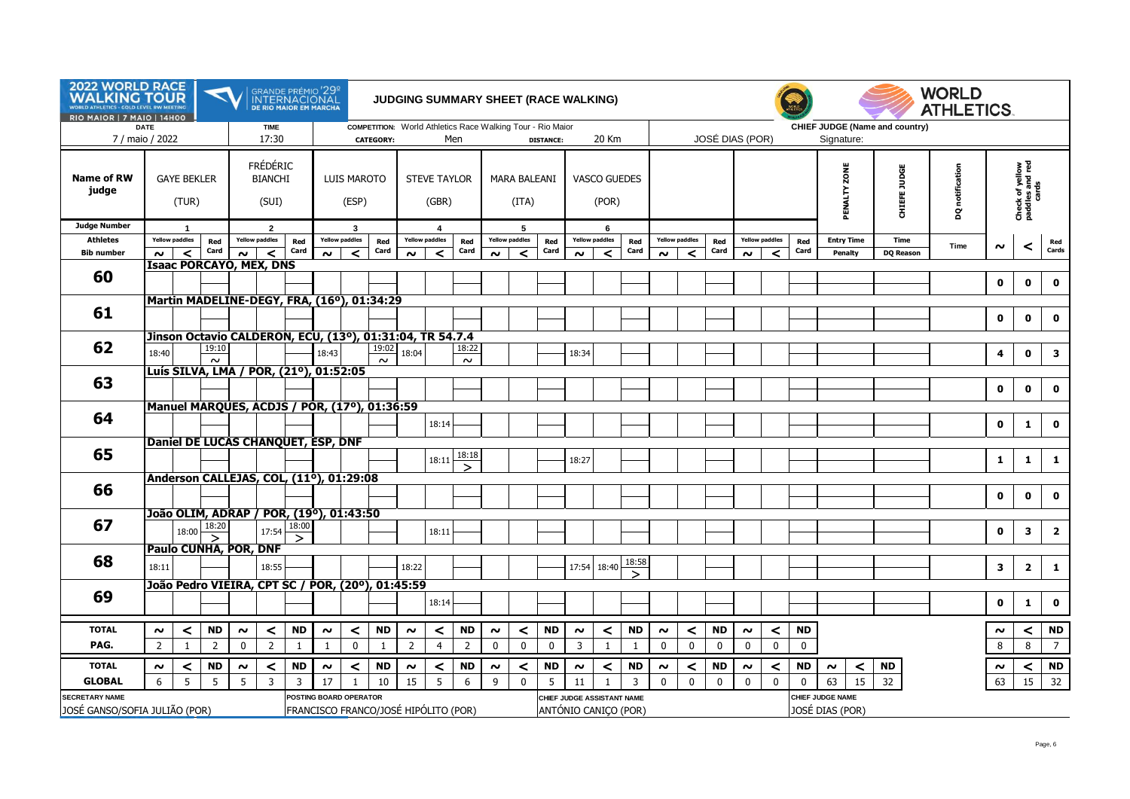| 2022 WORLD RACE<br><b>WAI</b><br>KING TOUR<br><b>RIO MAIOR   7 MAIO   14H00</b> | <b>GOLD LEVEL RW MEETING</b> |                                         |                                   |              | GRANDE PRÉMIO '29 <sup>°</sup><br>INTERNACIONAL<br>DE RIO MAIOR EM MARCHA |                          |        |                                      |                  |                              |                                  |                     |             |                                                            |                  | <b>JUDGING SUMMARY SHEET (RACE WALKING)</b> |                              |              |             |                            |                 |              |                                                   |              |                              |                                | <b>WORLD</b><br><b>ATHLETICS.</b> |             |                                             |                |
|---------------------------------------------------------------------------------|------------------------------|-----------------------------------------|-----------------------------------|--------------|---------------------------------------------------------------------------|--------------------------|--------|--------------------------------------|------------------|------------------------------|----------------------------------|---------------------|-------------|------------------------------------------------------------|------------------|---------------------------------------------|------------------------------|--------------|-------------|----------------------------|-----------------|--------------|---------------------------------------------------|--------------|------------------------------|--------------------------------|-----------------------------------|-------------|---------------------------------------------|----------------|
| 7 / maio / 2022                                                                 | <b>DATE</b>                  |                                         |                                   |              | <b>TIME</b><br>17:30                                                      |                          |        |                                      | <b>CATEGORY:</b> |                              |                                  | Men                 |             | COMPETITION: World Athletics Race Walking Tour - Rio Maior | <b>DISTANCE:</b> |                                             | 20 Km                        |              |             |                            | JOSÉ DIAS (POR) |              |                                                   |              | Signature:                   | CHIEF JUDGE (Name and country) |                                   |             |                                             |                |
| <b>Name of RW</b><br>judge                                                      |                              | <b>GAYE BEKLER</b><br>(TUR)             |                                   |              | <b>FRÉDÉRIC</b><br><b>BIANCHI</b><br>(SUI)                                |                          |        | <b>LUIS MAROTO</b><br>(ESP)          |                  | <b>STEVE TAYLOR</b><br>(GBR) |                                  |                     |             | <b>MARA BALEANI</b><br>(ITA)                               |                  |                                             | <b>VASCO GUEDES</b><br>(POR) |              |             |                            |                 |              |                                                   |              | ZONE<br>PENALTY              | CHIEFE JUDGE                   | notification<br>g                 |             | Check of yellow<br>paddles and red<br>cards |                |
| <b>Judge Number</b>                                                             |                              | $\overline{1}$<br><b>Yellow paddles</b> |                                   |              | $\overline{2}$                                                            |                          |        | 3                                    |                  |                              | $\overline{4}$                   |                     |             | -5                                                         |                  |                                             | 6<br><b>Yellow paddles</b>   |              |             |                            |                 |              |                                                   |              |                              |                                |                                   |             |                                             |                |
| <b>Athletes</b><br><b>Bib number</b>                                            | $\sim$                       | $\prec$                                 | Red<br>Card                       | $\sim$       | <b>Yellow paddles</b><br>$\prec$                                          | Red<br>Card              | $\sim$ | <b>Yellow paddles</b><br>$\prec$     | Red<br>Card      | $\sim$                       | <b>Yellow paddles</b><br>$\prec$ | Red<br>Card         | $\sim$      | <b>Yellow paddles</b><br>$\prec$                           | Red<br>Card      | $\sim$                                      | ≺                            | Red<br>Card  | $\sim$      | <b>Yellow paddles</b><br>≺ | Red<br>Card     | $\sim$       | <b>Yellow paddles</b><br>$\overline{\phantom{0}}$ | Red<br>Card  | <b>Entry Time</b><br>Penalty | Time<br><b>DQ Reason</b>       | Time                              | $\sim$      | $\prec$                                     | Red<br>Cards   |
|                                                                                 |                              |                                         |                                   |              | <b>Isaac PORCAYO, MEX, DNS</b>                                            |                          |        |                                      |                  |                              |                                  |                     |             |                                                            |                  |                                             |                              |              |             |                            |                 |              |                                                   |              |                              |                                |                                   |             |                                             |                |
| 60                                                                              |                              |                                         |                                   |              |                                                                           |                          |        |                                      |                  |                              |                                  |                     |             |                                                            |                  |                                             |                              |              |             |                            |                 |              |                                                   |              |                              |                                |                                   | $\mathbf 0$ | $\mathbf 0$                                 | $\mathbf 0$    |
|                                                                                 |                              |                                         |                                   |              |                                                                           |                          |        |                                      |                  |                              |                                  |                     |             |                                                            |                  |                                             |                              |              |             |                            |                 |              |                                                   |              |                              |                                |                                   |             |                                             |                |
| 61                                                                              |                              |                                         |                                   |              | Martin MADELINE-DEGY, FRA, (16°), 01:34:29                                |                          |        |                                      |                  |                              |                                  |                     |             |                                                            |                  |                                             |                              |              |             |                            |                 |              |                                                   |              |                              |                                |                                   | $\mathbf 0$ | $\mathbf 0$                                 | $\mathbf 0$    |
|                                                                                 |                              |                                         |                                   |              | Jinson Octavio CALDERON, ECU, (13º), 01:31:04, TR 54.7.4                  |                          |        |                                      |                  |                              |                                  |                     |             |                                                            |                  |                                             |                              |              |             |                            |                 |              |                                                   |              |                              |                                |                                   |             |                                             |                |
| 62                                                                              | 18:40                        |                                         | 19:10<br>$\sim$                   |              |                                                                           |                          | 18:43  |                                      | 19:02<br>$\sim$  | 18:04                        |                                  | 18:22<br>$\sim$     |             |                                                            |                  | 18:34                                       |                              |              |             |                            |                 |              |                                                   |              |                              |                                |                                   | 4           | $\mathbf 0$                                 | $\mathbf{3}$   |
|                                                                                 |                              |                                         |                                   |              | Luís SILVA, LMA / POR, (21º), 01:52:05                                    |                          |        |                                      |                  |                              |                                  |                     |             |                                                            |                  |                                             |                              |              |             |                            |                 |              |                                                   |              |                              |                                |                                   |             |                                             |                |
| 63                                                                              |                              |                                         |                                   |              |                                                                           |                          |        |                                      |                  |                              |                                  |                     |             |                                                            |                  |                                             |                              |              |             |                            |                 |              |                                                   |              |                              |                                |                                   | $\mathbf 0$ | $\mathbf 0$                                 | $\mathbf 0$    |
|                                                                                 |                              |                                         |                                   |              | Manuel MARQUES, ACDJS / POR, (17º), 01:36:59                              |                          |        |                                      |                  |                              |                                  |                     |             |                                                            |                  |                                             |                              |              |             |                            |                 |              |                                                   |              |                              |                                |                                   |             |                                             |                |
| 64                                                                              |                              |                                         |                                   |              |                                                                           |                          |        |                                      |                  |                              | 18:14                            |                     |             |                                                            |                  |                                             |                              |              |             |                            |                 |              |                                                   |              |                              |                                |                                   | $\mathbf 0$ | 1                                           | $\mathbf 0$    |
|                                                                                 |                              |                                         |                                   |              | Daniel DE LUCAS CHANQUET, ESP, DNF                                        |                          |        |                                      |                  |                              |                                  |                     |             |                                                            |                  |                                             |                              |              |             |                            |                 |              |                                                   |              |                              |                                |                                   |             |                                             |                |
| 65                                                                              |                              |                                         |                                   |              |                                                                           |                          |        |                                      |                  |                              | 18:11                            | 18:18               |             |                                                            |                  | 18:27                                       |                              |              |             |                            |                 |              |                                                   |              |                              |                                |                                   | 1           | 1                                           | $\mathbf{1}$   |
|                                                                                 |                              |                                         |                                   |              |                                                                           |                          |        |                                      |                  |                              |                                  | $\mathbf{\check{}}$ |             |                                                            |                  |                                             |                              |              |             |                            |                 |              |                                                   |              |                              |                                |                                   |             |                                             |                |
| 66                                                                              |                              |                                         |                                   |              | Anderson CALLEJAS, COL, (11º), 01:29:08                                   |                          |        |                                      |                  |                              |                                  |                     |             |                                                            |                  |                                             |                              |              |             |                            |                 |              |                                                   |              |                              |                                |                                   |             |                                             |                |
|                                                                                 |                              |                                         |                                   |              |                                                                           |                          |        |                                      |                  |                              |                                  |                     |             |                                                            |                  |                                             |                              |              |             |                            |                 |              |                                                   |              |                              |                                |                                   | $\mathbf 0$ | $\mathbf 0$                                 | $\mathbf 0$    |
|                                                                                 |                              |                                         |                                   |              | João OLIM, ADRAP / POR, (19º), 01:43:50                                   |                          |        |                                      |                  |                              |                                  |                     |             |                                                            |                  |                                             |                              |              |             |                            |                 |              |                                                   |              |                              |                                |                                   |             |                                             |                |
| 67                                                                              |                              | 18:00                                   | 18:20<br>$\overline{\phantom{0}}$ |              | 17:54                                                                     | 18:00                    |        |                                      |                  |                              | 18:11                            |                     |             |                                                            |                  |                                             |                              |              |             |                            |                 |              |                                                   |              |                              |                                |                                   | $\mathbf 0$ | 3                                           | $\overline{2}$ |
|                                                                                 |                              |                                         |                                   |              | Paulo CUNHA, POR, DNF                                                     | $\overline{\phantom{0}}$ |        |                                      |                  |                              |                                  |                     |             |                                                            |                  |                                             |                              |              |             |                            |                 |              |                                                   |              |                              |                                |                                   |             |                                             |                |
| 68                                                                              | 18:11                        |                                         |                                   |              | 18:55                                                                     |                          |        |                                      |                  | 18:22                        |                                  |                     |             |                                                            |                  | 17:54                                       | 18:40                        | 18:58        |             |                            |                 |              |                                                   |              |                              |                                |                                   | 3           | $\overline{2}$                              | $\mathbf{1}$   |
|                                                                                 |                              |                                         |                                   |              | João Pedro VIEIRA, CPT SC / POR, (200), 01:45:59                          |                          |        |                                      |                  |                              |                                  |                     |             |                                                            |                  |                                             |                              | $\checkmark$ |             |                            |                 |              |                                                   |              |                              |                                |                                   |             |                                             |                |
| 69                                                                              |                              |                                         |                                   |              |                                                                           |                          |        |                                      |                  |                              | 18:14                            |                     |             |                                                            |                  |                                             |                              |              |             |                            |                 |              |                                                   |              |                              |                                |                                   | $\mathbf 0$ | $\mathbf{1}$                                | $\mathbf 0$    |
|                                                                                 |                              |                                         |                                   |              |                                                                           |                          |        |                                      |                  |                              |                                  |                     |             |                                                            |                  |                                             |                              |              |             |                            |                 |              |                                                   |              |                              |                                |                                   |             |                                             |                |
| <b>TOTAL</b>                                                                    | $\sim$                       | $\prec$                                 | <b>ND</b>                         | $\sim$       | $\prec$                                                                   | <b>ND</b>                | $\sim$ | $\prec$                              | <b>ND</b>        | $\sim$                       | $\prec$                          | <b>ND</b>           | $\sim$      | $\prec$                                                    | <b>ND</b>        | $\sim$                                      | $\prec$                      | <b>ND</b>    | $\sim$      | $\prec$                    | <b>ND</b>       | $\sim$       | $\prec$                                           | <b>ND</b>    |                              |                                |                                   | $\sim$      | $\prec$                                     | <b>ND</b>      |
| PAG.                                                                            | $\overline{2}$               | 1                                       | $\overline{2}$                    | $\mathbf{0}$ | $\overline{2}$                                                            | 1                        | 1      | $\mathbf 0$                          | 1                | $\overline{2}$               | $\overline{4}$                   | $\overline{2}$      | $\mathbf 0$ | $\mathbf 0$                                                | $\mathbf 0$      | 3                                           | $\mathbf{1}$                 | 1            | $\mathbf 0$ | $\mathbf 0$                | $\mathbf 0$     | $\mathbf 0$  | $\mathbf 0$                                       | $\mathbf 0$  |                              |                                |                                   | 8           | 8                                           | $\overline{7}$ |
| <b>TOTAL</b>                                                                    | $\sim$                       | ≺                                       | <b>ND</b>                         | $\sim$       | <                                                                         | <b>ND</b>                | $\sim$ | $\prec$                              | <b>ND</b>        | $\sim$                       | $\prec$                          | <b>ND</b>           | $\sim$      | $\prec$                                                    | <b>ND</b>        | $\sim$                                      | $\prec$                      | <b>ND</b>    | $\sim$      | ≺                          | <b>ND</b>       | $\sim$       | $\prec$                                           | <b>ND</b>    | $\prec$<br>$\sim$            | <b>ND</b>                      |                                   | $\sim$      | ≺                                           | <b>ND</b>      |
| <b>GLOBAL</b>                                                                   | 6                            | 5                                       | 5                                 | 5            | $\overline{3}$                                                            | 3                        | 17     | $\mathbf{1}$                         | 10               | 15                           | 5                                | 6                   | 9           | $\mathbf 0$                                                | 5                | 11                                          | 1                            | 3            | $\Omega$    | $\mathbf{0}$               | $\mathbf 0$     | $\mathbf{0}$ | $\mathbf{0}$                                      | $\mathbf{0}$ | 63<br>15                     | 32                             |                                   | 63          | 15                                          | 32             |
| <b>SECRETARY NAME</b>                                                           |                              |                                         |                                   |              |                                                                           |                          |        | POSTING BOARD OPERATOR               |                  |                              |                                  |                     |             |                                                            |                  | CHIEF JUDGE ASSISTANT NAME                  |                              |              |             |                            |                 |              |                                                   |              | <b>CHIEF JUDGE NAME</b>      |                                |                                   |             |                                             |                |
| JOSÉ GANSO/SOFIA JULIÃO (POR)                                                   |                              |                                         |                                   |              |                                                                           |                          |        | FRANCISCO FRANCO/JOSÉ HIPÓLITO (POR) |                  |                              |                                  |                     |             |                                                            |                  | ANTÓNIO CANIÇO (POR)                        |                              |              |             |                            |                 |              |                                                   |              | JOSÉ DIAS (POR)              |                                |                                   |             |                                             |                |